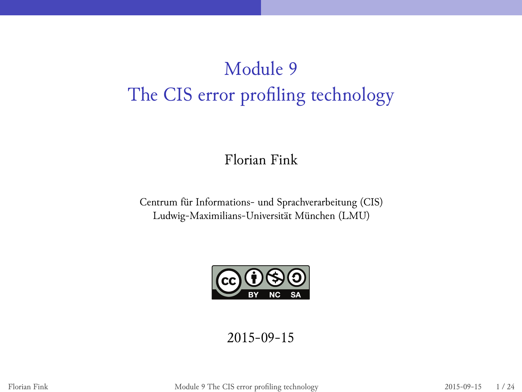# Module 9 The CIS error profiling technology

Florian Fink

Centrum für Informations- und Sprachverarbeitung (CIS) Ludwig-Maximilians-Universität München (LMU)



2015-09-15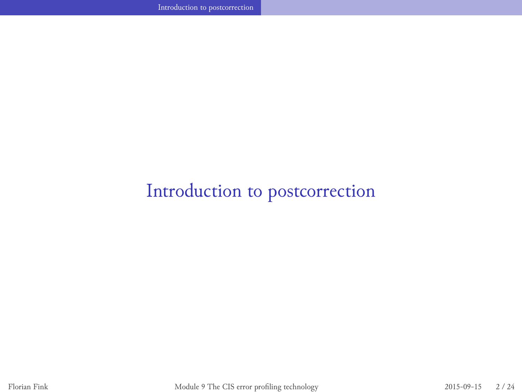# Introduction to postcorrection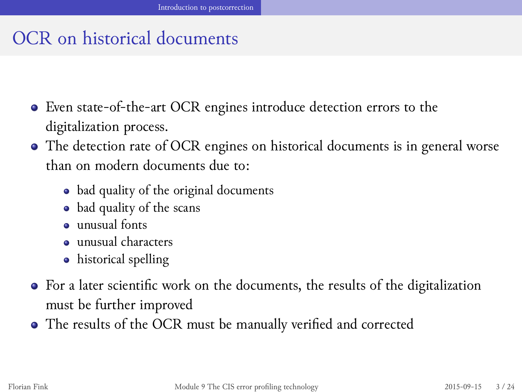## OCR on historical documents

Even state-of-the-art OCR engines introduce detection errors to the digitalization process.

- The detection rate of OCR engines on historical documents is in general worse than on modern documents due to:
	- bad quality of the original documents
	- bad quality of the scans
	- unusual fonts
	- unusual characters
	- historical spelling
- For a later scientific work on the documents, the results of the digitalization must be further improved
- The results of the OCR must be manually verified and corrected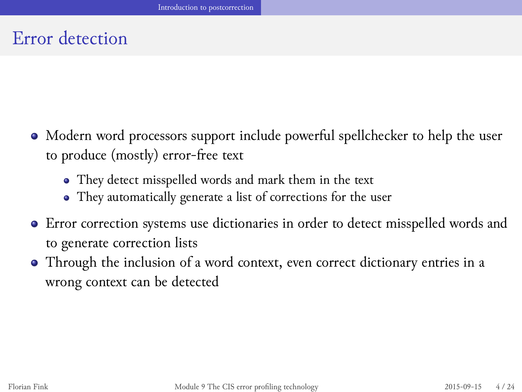# Error detection

- Modern word processors support include powerful spellchecker to help the user to produce (mostly) error-free text
	- They detect misspelled words and mark them in the text

- They automatically generate a list of corrections for the user
- Error correction systems use dictionaries in order to detect misspelled words and to generate correction lists
- Through the inclusion of a word context, even correct dictionary entries in a wrong context can be detected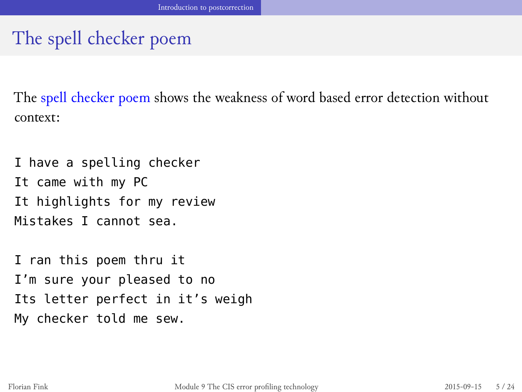# The spell checker poem

The spell checker poem shows the weakness of word based error detection without context:

Introduction to postcorrection

I have a spelling checker It came with my PC It highlights for my review Mistakes I cannot sea.

I ran this poem thru it I'm sure your pleased to no Its letter perfect in it's weigh My checker told me sew.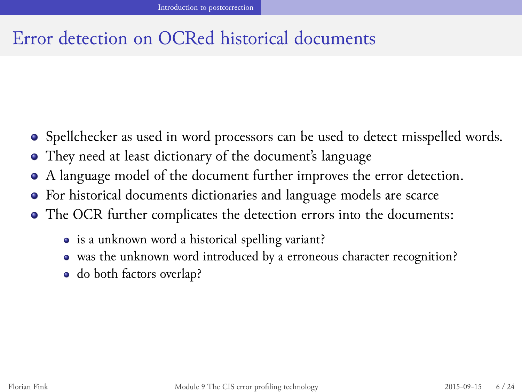## Error detection on OCRed historical documents

- Spellchecker as used in word processors can be used to detect misspelled words.
- They need at least dictionary of the document's language
- A language model of the document further improves the error detection.
- For historical documents dictionaries and language models are scarce
- The OCR further complicates the detection errors into the documents:
	- is a unknown word a historical spelling variant?
	- was the unknown word introduced by a erroneous character recognition?
	- do both factors overlap?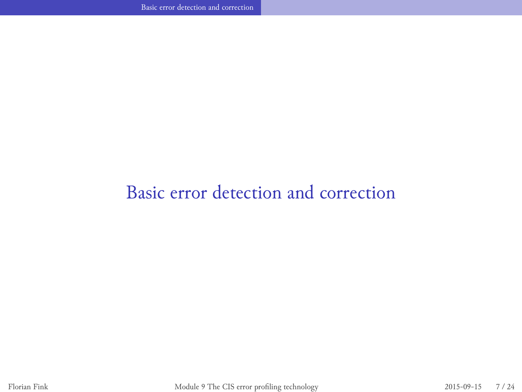Basic error detection and correction

**Basic error detection and correction**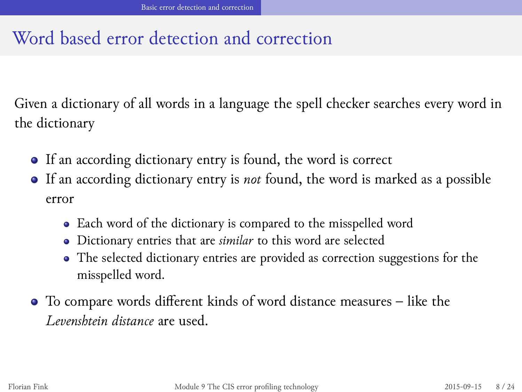## Word based error detection and correction

Given a dictionary of all words in a language the spell checker searches every word in the dictionary

- If an according dictionary entry is found, the word is correct
- If an according dictionary entry is *not* found, the word is marked as a possible error
	- Each word of the dictionary is compared to the misspelled word
	- Dictionary entries that are *similar* to this word are selected
	- The selected dictionary entries are provided as correction suggestions for the misspelled word.
- To compare words different kinds of word distance measures like the *Levenshtein distance* are used.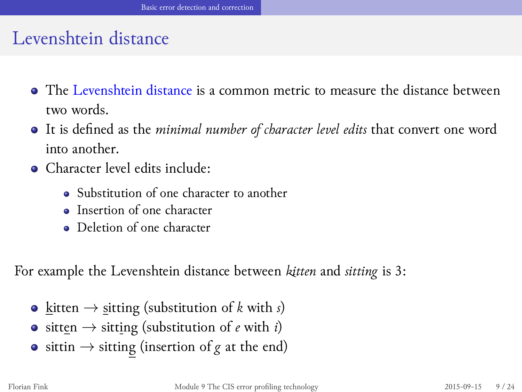### Levenshtein distance

- The Levenshtein distance is a common metric to measure the distance between two words.
- It is defined as the *minimal number of character level edits* that convert one word into another.
- Character level edits include:
	- Substitution of one character to another
	- Insertion of one character
	- Deletion of one character

For example the Levenshtein distance between *kitten* and *sitting* is 3:

- **•** <u>k</u>itten → sitting (substitution of *k* with *s*)
- sitten *→* sitting (substitution of *e* with *i*)
- sittin *→* sitting (insertion of *g* at the end)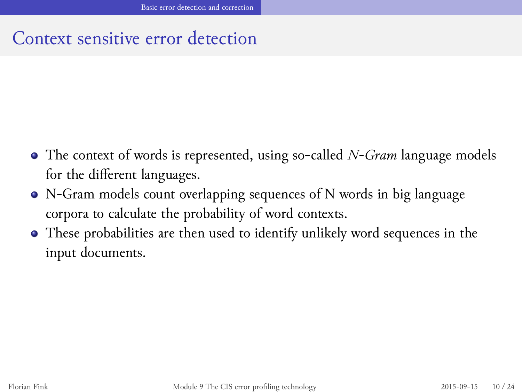## Context sensitive error detection

Basic error detection and correction

- The context of words is represented, using so-called *N-Gram* language models for the different languages.
- N-Gram models count overlapping sequences of N words in big language corpora to calculate the probability of word contexts.
- These probabilities are then used to identify unlikely word sequences in the input documents.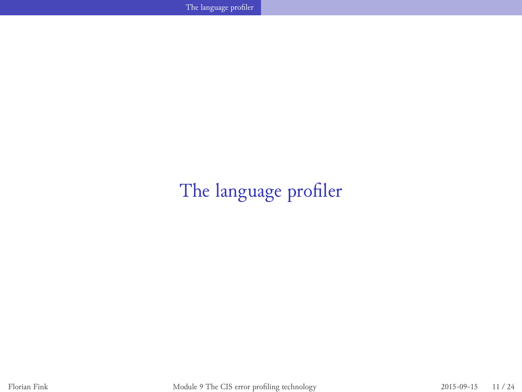$\mathbb{Z}_2$  . The language profiler and  $\mathbb{Z}_2$  is a set of the language profiler and  $\mathbb{Z}_2$ 

The language profiler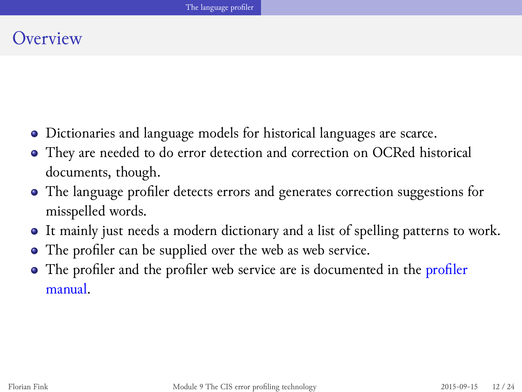#### The language profiler

**Overview** 

- Dictionaries and language models for historical languages are scarce.
- They are needed to do error detection and correction on OCRed historical documents, though.
- The language profiler detects errors and generates correction suggestions for misspelled words.
- It mainly just needs a modern dictionary and a list of spelling patterns to work.
- The profiler can be supplied over the web as web service.
- The profiler and the profiler web service are is documented in the profiler manual.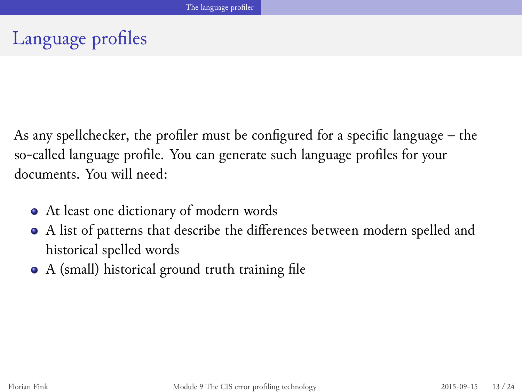# The language profiler

Language profiles

As any spellchecker, the profiler must be configured for a specific language – the so-called language profile. You can generate such language profiles for your documents. You will need:

- At least one dictionary of modern words
- A list of patterns that describe the differences between modern spelled and historical spelled words
- A (small) historical ground truth training file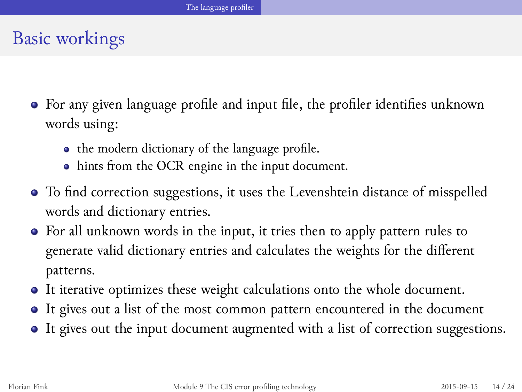#### The language profiler

Basic workings

- For any given language profile and input file, the profiler identifies unknown words using:
	- $\bullet\;$  the modern dictionary of the language profile.
	- hints from the OCR engine in the input document.
- To find correction suggestions, it uses the Levenshtein distance of misspelled words and dictionary entries.
- For all unknown words in the input, it tries then to apply pattern rules to generate valid dictionary entries and calculates the weights for the different patterns.
- It iterative optimizes these weight calculations onto the whole document.
- It gives out a list of the most common pattern encountered in the document
- It gives out the input document augmented with a list of correction suggestions.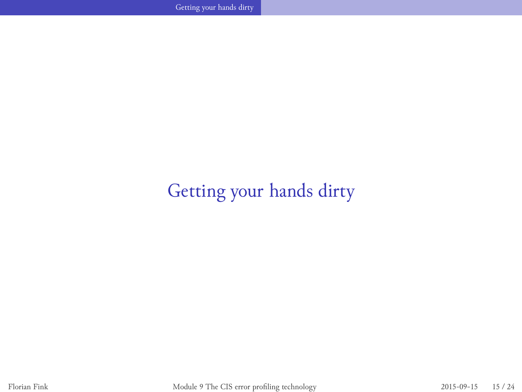Getting your hands dirty **Committee Committee Committee Committee** 

Getting your hands dirty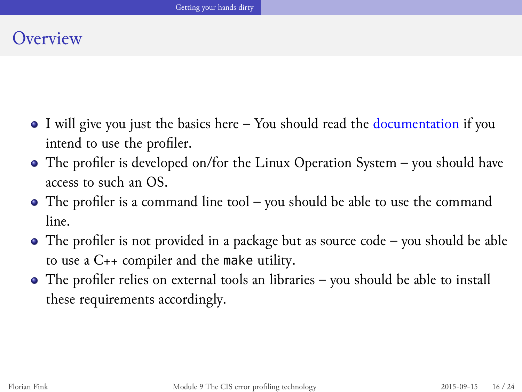**Overview** 

- I will give you just the basics here You should read the documentation if you intend to use the profiler.
- The profiler is developed on/for the Linux Operation System you should have access to such an OS.
- The profiler is a command line tool you should be able to use the command line.
- The profiler is not provided in a package but as source code you should be able to use a C++ compiler and the make utility.
- The profiler relies on external tools an libraries you should be able to install these requirements accordingly.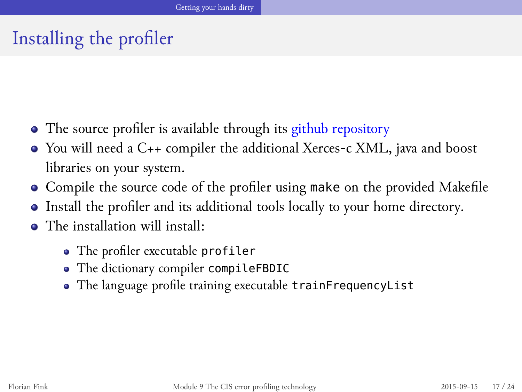Installing the profiler

- The source profiler is available through its github repository
- You will need a C++ compiler the additional Xerces-c XML, java and boost libraries on your system.
- Compile the source code of the profiler using make on the provided Makefile
- Install the profiler and its additional tools locally to your home directory.
- The installation will install:
	- The profiler executable profiler
	- The dictionary compiler compileFBDIC
	- The language profile training executable trainFrequencyList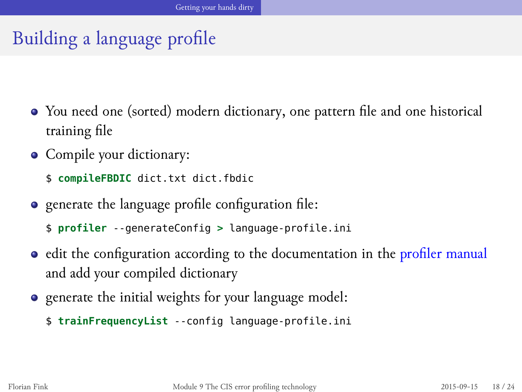# Building a language profile

- You need one (sorted) modern dictionary, one pattern file and one historical training file
- Compile your dictionary:
	- \$ **compileFBDIC** dict.txt dict.fbdic
- generate the language profile configuration file:
	- \$ **profiler** --generateConfig **>** language-profile.ini
- · edit the configuration according to the documentation in the profiler manual and add your compiled dictionary
- generate the initial weights for your language model:
	- \$ **trainFrequencyList** --config language-profile.ini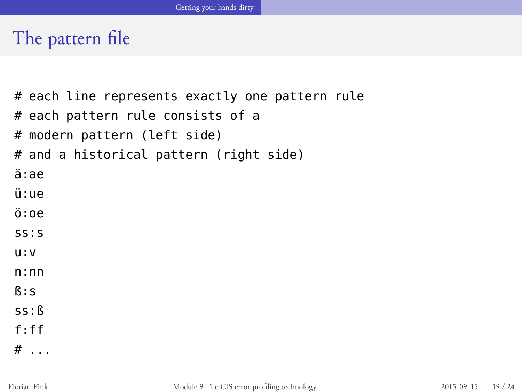The pattern file

```
# each line represents exactly one pattern rule
# each pattern rule consists of a
# modern pattern (left side)
# and a historical pattern (right side)
ä:ae
ü:ue
ö:oe
ss:s
u:v
n:nn
ß:s
ss:ß
f:ff
# . . .
```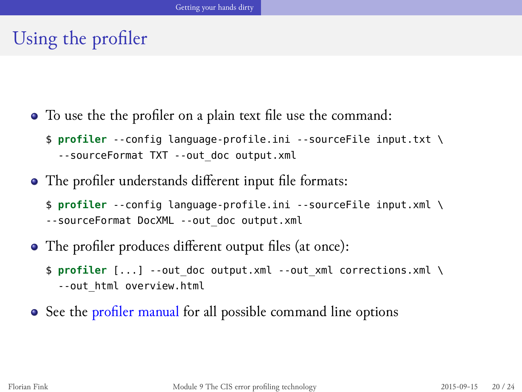Using the profiler

To use the the profiler on a plain text file use the command:

\$ **profiler** --config language-profile.ini --sourceFile input.txt \ --sourceFormat TXT --out\_doc output.xml

- The profiler understands different input file formats:
	- \$ **profiler** --config language-profile.ini --sourceFile input.xml \ --sourceFormat DocXML --out\_doc output.xml
- The profiler produces different output files (at once):
	- \$ **profiler** [...] --out\_doc output.xml --out\_xml corrections.xml \ --out\_html overview.html
- See the profiler manual for all possible command line options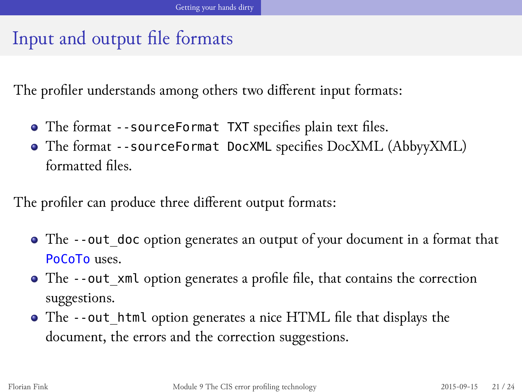# Input and output file formats

The profiler understands among others two different input formats:

- The format --sourceFormat TXT specifies plain text files.
- The format --sourceFormat DocXML specifies DocXML (AbbyyXML) formatted files.

The profiler can produce three different output formats:

- The --out\_doc option generates an output of your document in a format that PoCoTo uses.
- The --out\_xml option generates a profile file, that contains the correction suggestions.
- The --out\_html option generates a nice HTML file that displays the document, the errors and the correction suggestions.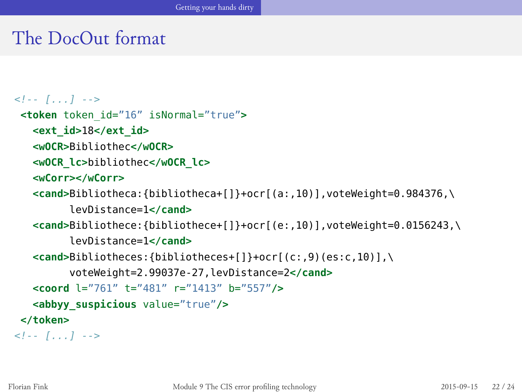## The DocOut format

```
<!-- [...] -->
<token token_id="16" isNormal="true">
   <ext_id>18</ext_id>
   <wOCR>Bibliothec</wOCR>
   <wOCR_lc>bibliothec</wOCR_lc>
   <wCorr></wCorr>
   <cand>Bibliotheca:{bibliotheca+[]}+ocr[(a:,10)],voteWeight=0.984376,\
         levDistance=1</cand>
   <cand>Bibliothece:{bibliothece+[]}+ocr[(e:,10)],voteWeight=0.0156243,\
         levDistance=1</cand>
   <cand>Bibliotheces:{bibliotheces+[]}+ocr[(c:,9)(es:c,10)],\
         voteWeight=2.99037e-27,levDistance=2</cand>
   <coord l="761" t="481" r="1413" b="557"/>
   <abbyy_suspicious value="true"/>
</token>
<!-- [...] -->
```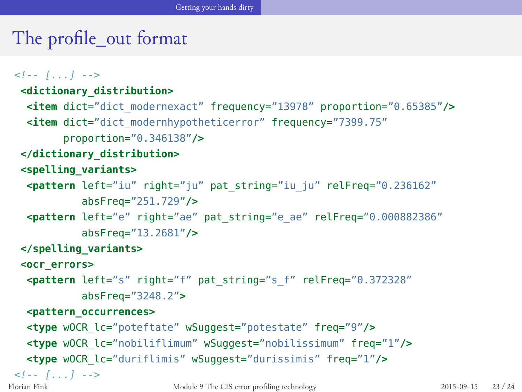# The profile\_out format

#### *<!-- [...] -->*

```
<dictionary_distribution>
 <item dict="dict_modernexact" frequency="13978" proportion="0.65385"/>
 <item dict="dict_modernhypotheticerror" frequency="7399.75"
       proportion="0.346138"/>
 </dictionary_distribution>
 <spelling_variants>
 <pattern left="iu" right="ju" pat_string="iu_ju" relFreq="0.236162"
          absFreq="251.729"/>
  <pattern left="e" right="ae" pat_string="e_ae" relFreq="0.000882386"
          absFreq="13.2681"/>
 </spelling_variants>
 <ocr_errors>
 <pattern left="s" right="f" pat_string="s_f" relFreq="0.372328"
          absFreq="3248.2">
 <pattern_occurrences>
 <type wOCR_lc="poteftate" wSuggest="potestate" freq="9"/>
  <type wOCR_lc="nobiliflimum" wSuggest="nobilissimum" freq="1"/>
  <type wOCR_lc="duriflimis" wSuggest="durissimis" freq="1"/>
<!-- [...] -->
```
Florian Fink Module 9 The CIS error profiling technology 2015-09-15 23 / 24